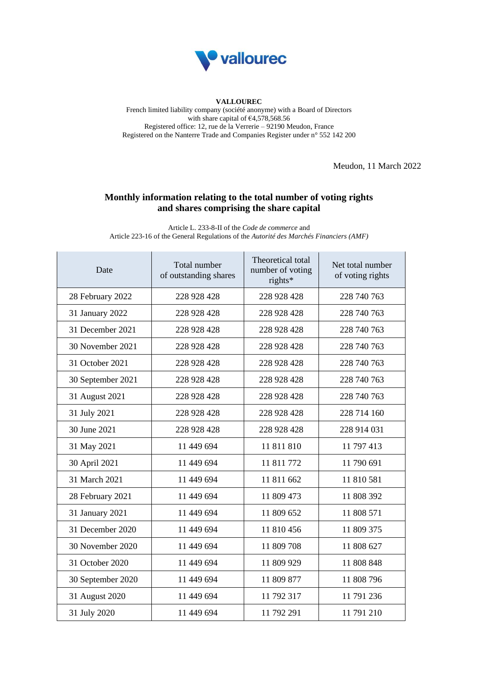

## **VALLOUREC**

French limited liability company (société anonyme) with a Board of Directors with share capital of  $64,578,568.56$ Registered office: 12, rue de la Verrerie – 92190 Meudon, France Registered on the Nanterre Trade and Companies Register under n° 552 142 200

Meudon, 11 March 2022

## **Monthly information relating to the total number of voting rights and shares comprising the share capital**

Article L. 233-8-II of the *Code de commerce* and Article 223-16 of the General Regulations of the *Autorité des Marchés Financiers (AMF)*

| Date              | Total number<br>of outstanding shares | Theoretical total<br>number of voting<br>rights* | Net total number<br>of voting rights |
|-------------------|---------------------------------------|--------------------------------------------------|--------------------------------------|
| 28 February 2022  | 228 928 428                           | 228 928 428                                      | 228 740 763                          |
| 31 January 2022   | 228 928 428                           | 228 928 428                                      | 228 740 763                          |
| 31 December 2021  | 228 928 428                           | 228 928 428                                      | 228 740 763                          |
| 30 November 2021  | 228 928 428                           | 228 928 428                                      | 228 740 763                          |
| 31 October 2021   | 228 928 428                           | 228 928 428                                      | 228 740 763                          |
| 30 September 2021 | 228 928 428                           | 228 928 428                                      | 228 740 763                          |
| 31 August 2021    | 228 928 428                           | 228 928 428                                      | 228 740 763                          |
| 31 July 2021      | 228 928 428                           | 228 928 428                                      | 228 714 160                          |
| 30 June 2021      | 228 928 428                           | 228 928 428                                      | 228 914 031                          |
| 31 May 2021       | 11 449 694                            | 11 811 810                                       | 11 797 413                           |
| 30 April 2021     | 11 449 694                            | 11 811 772                                       | 11 790 691                           |
| 31 March 2021     | 11 449 694                            | 11 811 662                                       | 11 810 581                           |
| 28 February 2021  | 11 449 694                            | 11 809 473                                       | 11 808 392                           |
| 31 January 2021   | 11 449 694                            | 11 809 652                                       | 11 808 571                           |
| 31 December 2020  | 11 449 694                            | 11 810 456                                       | 11 809 375                           |
| 30 November 2020  | 11 449 694                            | 11 809 708                                       | 11 808 627                           |
| 31 October 2020   | 11 449 694                            | 11 809 929                                       | 11 808 848                           |
| 30 September 2020 | 11 449 694                            | 11 809 877                                       | 11 808 796                           |
| 31 August 2020    | 11 449 694                            | 11 792 317                                       | 11 791 236                           |
| 31 July 2020      | 11 449 694                            | 11 792 291                                       | 11 791 210                           |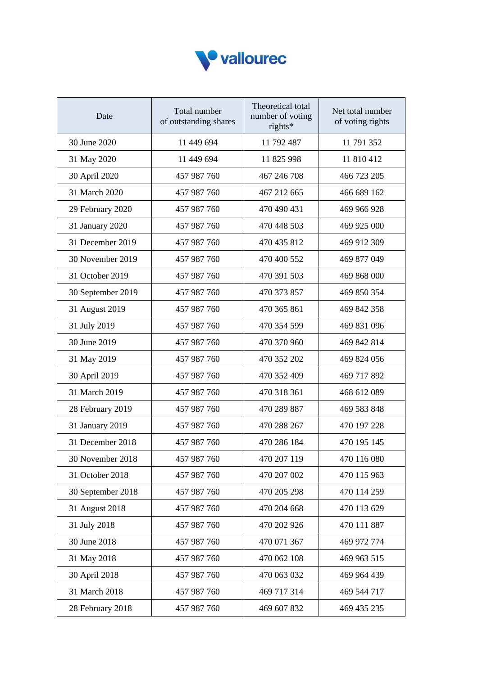

| Date              | Total number<br>of outstanding shares | Theoretical total<br>number of voting<br>rights* | Net total number<br>of voting rights |
|-------------------|---------------------------------------|--------------------------------------------------|--------------------------------------|
| 30 June 2020      | 11 449 694                            | 11 792 487                                       | 11 791 352                           |
| 31 May 2020       | 11 449 694                            | 11 825 998                                       | 11 810 412                           |
| 30 April 2020     | 457 987 760                           | 467 246 708                                      | 466 723 205                          |
| 31 March 2020     | 457 987 760                           | 467 212 665                                      | 466 689 162                          |
| 29 February 2020  | 457 987 760                           | 470 490 431                                      | 469 966 928                          |
| 31 January 2020   | 457 987 760                           | 470 448 503                                      | 469 925 000                          |
| 31 December 2019  | 457 987 760                           | 470 435 812                                      | 469 912 309                          |
| 30 November 2019  | 457 987 760                           | 470 400 552                                      | 469 877 049                          |
| 31 October 2019   | 457 987 760                           | 470 391 503                                      | 469 868 000                          |
| 30 September 2019 | 457 987 760                           | 470 373 857                                      | 469 850 354                          |
| 31 August 2019    | 457 987 760                           | 470 365 861                                      | 469 842 358                          |
| 31 July 2019      | 457 987 760                           | 470 354 599                                      | 469 831 096                          |
| 30 June 2019      | 457 987 760                           | 470 370 960                                      | 469 842 814                          |
| 31 May 2019       | 457 987 760                           | 470 352 202                                      | 469 824 056                          |
| 30 April 2019     | 457 987 760                           | 470 352 409                                      | 469 717 892                          |
| 31 March 2019     | 457 987 760                           | 470 318 361                                      | 468 612 089                          |
| 28 February 2019  | 457 987 760                           | 470 289 887                                      | 469 583 848                          |
| 31 January 2019   | 457 987 760                           | 470 288 267                                      | 470 197 228                          |
| 31 December 2018  | 457 987 760                           | 470 286 184                                      | 470 195 145                          |
| 30 November 2018  | 457 987 760                           | 470 207 119                                      | 470 116 080                          |
| 31 October 2018   | 457 987 760                           | 470 207 002                                      | 470 115 963                          |
| 30 September 2018 | 457 987 760                           | 470 205 298                                      | 470 114 259                          |
| 31 August 2018    | 457 987 760                           | 470 204 668                                      | 470 113 629                          |
| 31 July 2018      | 457 987 760                           | 470 202 926                                      | 470 111 887                          |
| 30 June 2018      | 457 987 760                           | 470 071 367                                      | 469 972 774                          |
| 31 May 2018       | 457 987 760                           | 470 062 108                                      | 469 963 515                          |
| 30 April 2018     | 457 987 760                           | 470 063 032                                      | 469 964 439                          |
| 31 March 2018     | 457 987 760                           | 469 717 314                                      | 469 544 717                          |
| 28 February 2018  | 457 987 760                           | 469 607 832                                      | 469 435 235                          |